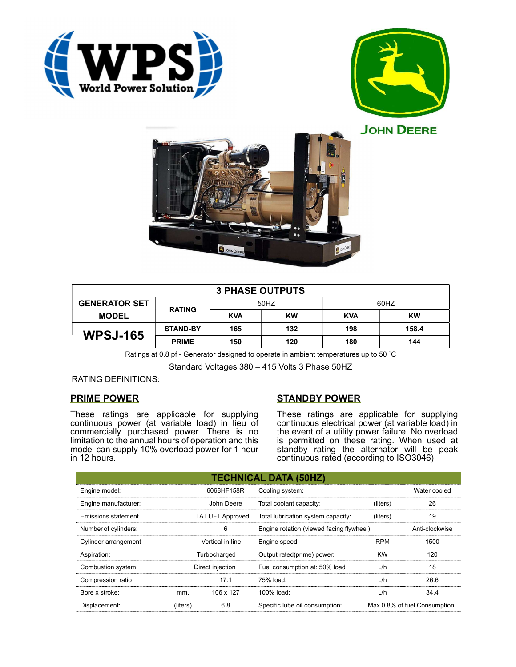





| <b>3 PHASE OUTPUTS</b> |                 |            |           |            |       |  |  |
|------------------------|-----------------|------------|-----------|------------|-------|--|--|
| <b>GENERATOR SET</b>   | <b>RATING</b>   | 50HZ       |           | 60HZ       |       |  |  |
| <b>MODEL</b>           |                 | <b>KVA</b> | <b>KW</b> | <b>KVA</b> | KW    |  |  |
| <b>WPSJ-165</b>        | <b>STAND-BY</b> | 165        | 132       | 198        | 158.4 |  |  |
|                        | <b>PRIME</b>    | 150        | 120       | 180        | 144   |  |  |

Ratings at 0.8 pf - Generator designed to operate in ambient temperatures up to 50 °C

Standard Voltages 380 – 415 Volts 3 Phase 50HZ

### RATING DEFINITIONS:

### PRIME POWER

These ratings are applicable for supplying continuous power (at variable load) in lieu of commercially purchased power. There is no limitation to the annual hours of operation and this model can supply 10% overload power for 1 hour in 12 hours.

# STANDBY POWER

These ratings are applicable for supplying continuous electrical power (at variable load) in the event of a utility power failure. No overload is permitted on these rating. When used at standby rating the alternator will be peak continuous rated (according to ISO3046)

| <b>TECHNICAL DATA (50HZ)</b> |                  |           |                                           |            |                              |  |
|------------------------------|------------------|-----------|-------------------------------------------|------------|------------------------------|--|
| Engine model:                | 6068HF158R       |           | Cooling system:                           |            | Water cooled                 |  |
| Engine manufacturer:         | John Deere       |           | Total coolant capacity:                   | (liters)   | 26                           |  |
| Emissions statement          | TA LUFT Approved |           | Total lubrication system capacity:        | (liters)   | 19                           |  |
| Number of cylinders:         | 6                |           | Engine rotation (viewed facing flywheel): |            | Anti-clockwise               |  |
| Cylinder arrangement         | Vertical in-line |           | Engine speed:                             | <b>RPM</b> | 1500                         |  |
| Aspiration:                  | Turbocharged     |           | Output rated(prime) power:                | <b>KW</b>  | 120                          |  |
| Combustion system            | Direct injection |           | Fuel consumption at: 50% load             | L/h        | 18                           |  |
| Compression ratio            |                  | 17:1      | 75% load:                                 | L/h        | 26.6                         |  |
| Bore x stroke:               | mm.              | 106 x 127 | 100% load:                                | L/h        | 34.4                         |  |
| Displacement:                | (liters)         | 6.8       | Specific lube oil consumption:            |            | Max 0.8% of fuel Consumption |  |